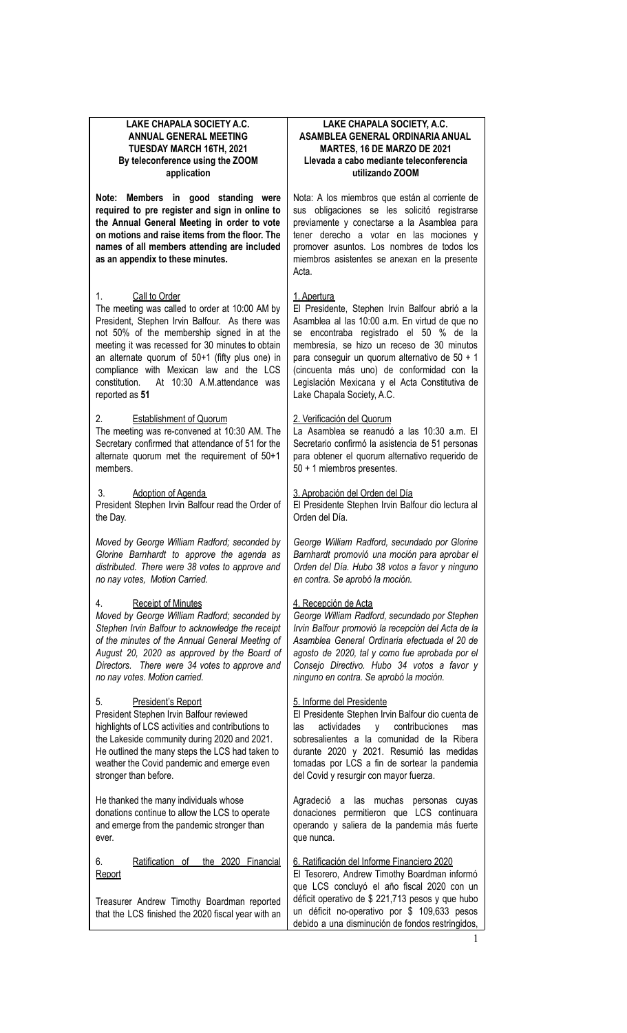# **LAKE CHAPALA SOCIETY A.C. ANNUAL GENERAL MEETING TUESDAY MARCH 16TH, 2021 By teleconference using the ZOOM application**

**Note: Members in good standing were required to pre register and sign in online to the Annual General Meeting in order to vote on motions and raise items from the floor. The names of all members attending are included as an appendix to these minutes.**

### 1. Call to Order

The meeting was called to order at 10:00 AM by President, Stephen Irvin Balfour. As there was not 50% of the membership signed in at the meeting it was recessed for 30 minutes to obtain an alternate quorum of 50+1 (fifty plus one) in compliance with Mexican law and the LCS constitution. At 10:30 A.M.attendance was reported as **51**

### **Establishment of Quorum**

The meeting was re-convened at 10:30 AM. The Secretary confirmed that attendance of 51 for the alternate quorum met the requirement of 50+1 members.

#### Adoption of Agenda

President Stephen Irvin Balfour read the Order of the Day.

*Moved by George William Radford; seconded by Glorine Barnhardt to approve the agenda as distributed. There were 38 votes to approve and no nay votes, Motion Carried.*

### **Receipt of Minutes**

*Moved by George William Radford; seconded by Stephen Irvin Balfour to acknowledge the receipt of the minutes of the Annual General Meeting of August 20, 2020 as approved by the Board of Directors. There were 34 votes to approve and no nay votes. Motion carried.*

### President's Report

President Stephen Irvin Balfour reviewed highlights of LCS activities and contributions to the Lakeside community during 2020 and 2021. He outlined the many steps the LCS had taken to weather the Covid pandemic and emerge even stronger than before.

He thanked the many individuals whose donations continue to allow the LCS to operate and emerge from the pandemic stronger than ever.

6. Ratification of the 2020 Financial **Report** 

Treasurer Andrew Timothy Boardman reported that the LCS finished the 2020 fiscal year with an

### **LAKE CHAPALA SOCIETY, A.C. ASAMBLEA GENERAL ORDINARIA ANUAL MARTES, 16 DE MARZO DE 2021 Llevada a cabo mediante teleconferencia utilizando ZOOM**

Nota: A los miembros que están al corriente de sus obligaciones se les solicitó registrarse previamente y conectarse a la Asamblea para tener derecho a votar en las mociones y promover asuntos. Los nombres de todos los miembros asistentes se anexan en la presente Acta.

# 1. Apertura

El Presidente, Stephen Irvin Balfour abrió a la Asamblea al las 10:00 a.m. En virtud de que no se encontraba registrado el 50 % de la membresía, se hizo un receso de 30 minutos para conseguir un quorum alternativo de 50 + 1 (cincuenta más uno) de conformidad con la Legislación Mexicana y el Acta Constitutiva de Lake Chapala Society, A.C.

### 2. Verificación del Quorum

La Asamblea se reanudó a las 10:30 a.m. El Secretario confirmó la asistencia de 51 personas para obtener el quorum alternativo requerido de 50 + 1 miembros presentes.

3. Aprobación del Orden del Día El Presidente Stephen Irvin Balfour dio lectura al Orden del Día.

*George William Radford, secundado por Glorine Barnhardt promovió una moción para aprobar el Orden del Día. Hubo 38 votos a favor y ninguno en contra. Se aprobó la moción.*

# 4. Recepción de Acta

*George William Radford, secundado por Stephen Irvin Balfour promovió la recepción del Acta de la Asamblea General Ordinaria efectuada el 20 de agosto de 2020, tal y como fue aprobada por el Consejo Directivo. Hubo 34 votos a favor y ninguno en contra. Se aprobó la moción.*

### 5. Informe del Presidente

El Presidente Stephen Irvin Balfour dio cuenta de las actividades y contribuciones mas sobresalientes a la comunidad de la Ribera durante 2020 y 2021. Resumió las medidas tomadas por LCS a fin de sortear la pandemia del Covid y resurgir con mayor fuerza.

Agradeció a las muchas personas cuyas donaciones permitieron que LCS continuara operando y saliera de la pandemia más fuerte que nunca.

# 6. Ratificación del Informe Financiero 2020

El Tesorero, Andrew Timothy Boardman informó que LCS concluyó el año fiscal 2020 con un déficit operativo de \$ 221,713 pesos y que hubo un déficit no-operativo por \$ 109,633 pesos debido a una disminución de fondos restringidos,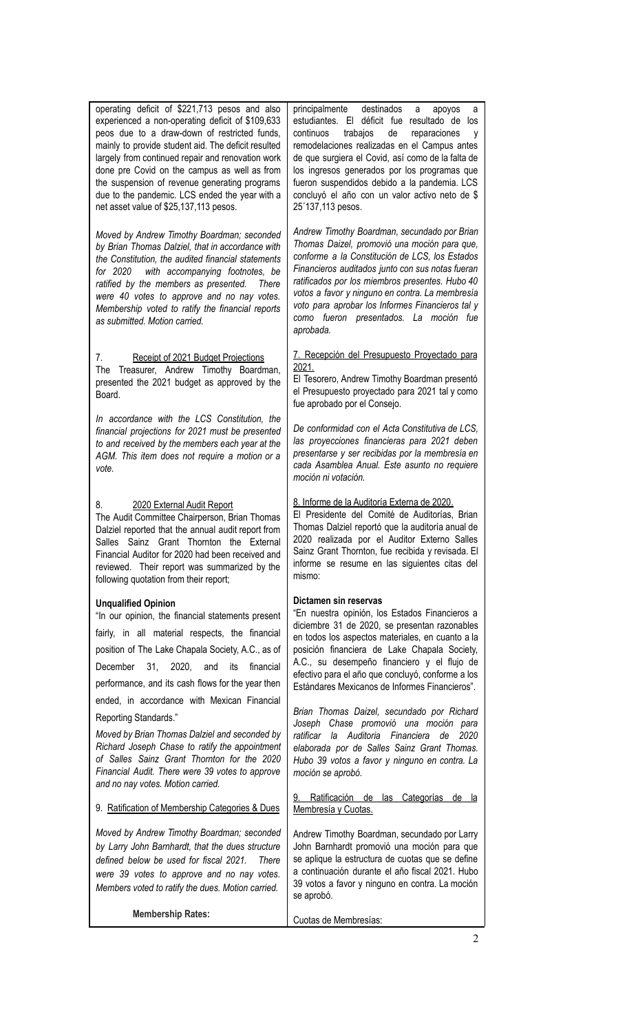operating deficit of \$221,713 pesos and also experienced a non-operating deficit of \$109,633 peos due to a draw-down of restricted funds, mainly to provide student aid. The deficit resulted largely from continued repair and renovation work done pre Covid on the campus as well as from the suspension of revenue generating programs due to the pandemic. LCS ended the year with a net asset value of \$25,137,113 pesos.

*Moved by Andrew Timothy Boardman; seconded by Brian Thomas Dalziel, that in accordance with the Constitution, the audited financial statements for 2020 with accompanying footnotes, be ratified by the members as presented. There were 40 votes to approve and no nay votes. Membership voted to ratify the financial reports as submitted. Motion carried.*

# Receipt of 2021 Budget Projections

The Treasurer, Andrew Timothy Boardman, presented the 2021 budget as approved by the Board.

*In accordance with the LCS Constitution, the financial projections for 2021 must be presented to and received by the members each year at the AGM. This item does not require a motion or a vote.*

## 8. 2020 External Audit Report

The Audit Committee Chairperson, Brian Thomas Dalziel reported that the annual audit report from Salles Sainz Grant Thornton the External Financial Auditor for 2020 had been received and reviewed. Their report was summarized by the following quotation from their report;

### **Unqualified Opinion**

"In our opinion, the financial statements present fairly, in all material respects, the financial position of The Lake Chapala Society, A.C., as of December 31, 2020, and its financial performance, and its cash flows for the year then ended, in accordance with Mexican Financial Reporting Standards."

*Moved by Brian Thomas Dalziel and seconded by Richard Joseph Chase to ratify the appointment of Salles Sainz Grant Thornton for the 2020 Financial Audit. There were 39 votes to approve and no nay votes. Motion carried.*

9. Ratification of Membership Categories & Dues

*Moved by Andrew Timothy Boardman; seconded by Larry John Barnhardt, that the dues structure defined below be used for fiscal 2021. There were 39 votes to approve and no nay votes. Members voted to ratify the dues. Motion carried.*

**Membership Rates:**

principalmente destinados a apoyos estudiantes. El déficit fue resultado de los continuos trabajos de reparaciones y remodelaciones realizadas en el Campus antes de que surgiera el Covid, así como de la falta de los ingresos generados por los programas que fueron suspendidos debido a la pandemia. LCS concluyó el año con un valor activo neto de \$ 25´137,113 pesos.

*Andrew Timothy Boardman, secundado por Brian Thomas Daizel, promovió una moción para que, conforme a la Constitución de LCS, los Estados Financieros auditados junto con sus notas fueran ratificados por los miembros presentes. Hubo 40 votos a favor y ninguno en contra. La membresía voto para aprobar los Informes Financieros tal y como fueron presentados. La moción fue aprobada.*

## 7. Recepción del Presupuesto Proyectado para 2021.

El Tesorero, Andrew Timothy Boardman presentó el Presupuesto proyectado para 2021 tal y como fue aprobado por el Consejo.

*De conformidad con el Acta Constitutiva de LCS, las proyecciones financieras para 2021 deben presentarse y ser recibidas por la membresía en cada Asamblea Anual. Este asunto no requiere moción ni votación.*

# 8. Informe de la Auditoría Externa de 2020.

El Presidente del Comité de Auditorías, Brian Thomas Dalziel reportó que la auditoría anual de 2020 realizada por el Auditor Externo Salles Sainz Grant Thornton, fue recibida y revisada. El informe se resume en las siguientes citas del mismo:

### **Dictamen sin reservas**

"En nuestra opinión, los Estados Financieros a diciembre 31 de 2020, se presentan razonables en todos los aspectos materiales, en cuanto a la posición financiera de Lake Chapala Society, A.C., su desempeño financiero y el flujo de efectivo para el año que concluyó, conforme a los Estándares Mexicanos de Informes Financieros".

*Brian Thomas Daizel, secundado por Richard Joseph Chase promovió una moción para ratificar la Auditoria Financiera de 2020 elaborada por de Salles Sainz Grant Thomas. Hubo 39 votos a favor y ninguno en contra. La moción se aprobó.*

Ratificación de las Categorías de la Membresía y Cuotas.

Andrew Timothy Boardman, secundado por Larry John Barnhardt promovió una moción para que se aplique la estructura de cuotas que se define a continuación durante el año fiscal 2021. Hubo 39 votos a favor y ninguno en contra. La moción se aprobó.

| Cuotas de Membresías: |
|-----------------------|
|                       |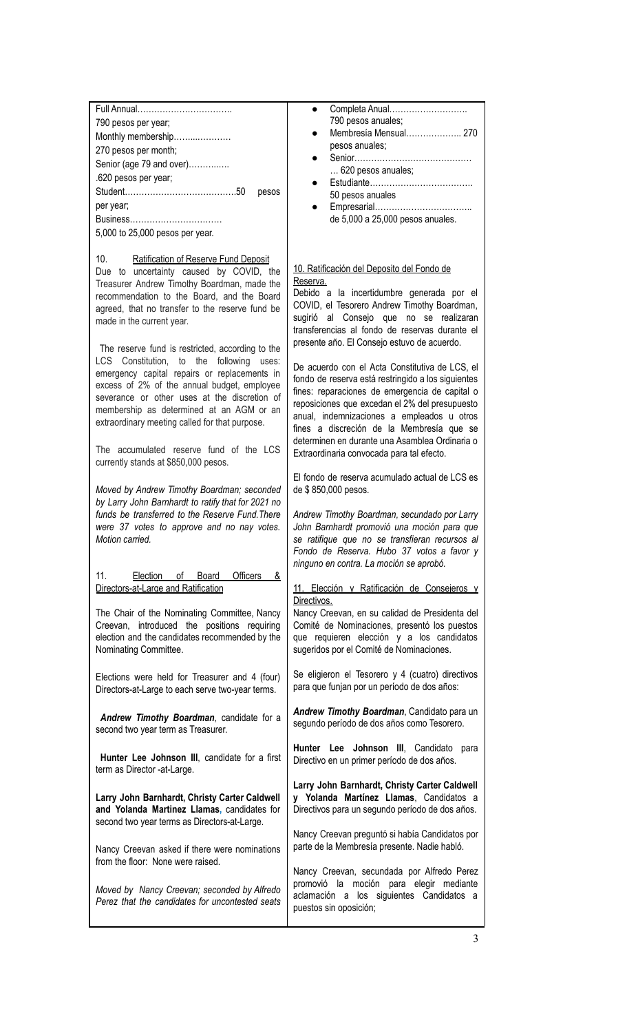| Completa Anual<br>Full Annual<br>790 pesos anuales;<br>790 pesos per year;<br>Membresía Mensual 270<br>Monthly membership<br>pesos anuales;<br>270 pesos per month;<br>Senior (age 79 and over)<br>620 pesos anuales;<br>.620 pesos per year;<br>pesos<br>50 pesos anuales<br>per year;<br>de 5,000 a 25,000 pesos anuales.<br>5,000 to 25,000 pesos per year.<br>10.<br>Ratification of Reserve Fund Deposit<br>10. Ratificación del Deposito del Fondo de<br>Due to uncertainty caused by COVID, the<br>Reserva.<br>Treasurer Andrew Timothy Boardman, made the<br>Debido a la incertidumbre generada por el<br>recommendation to the Board, and the Board<br>COVID, el Tesorero Andrew Timothy Boardman,<br>agreed, that no transfer to the reserve fund be<br>sugirió al Consejo que no se realizaran<br>made in the current year.<br>transferencias al fondo de reservas durante el<br>presente año. El Consejo estuvo de acuerdo.<br>The reserve fund is restricted, according to the<br>LCS Constitution, to the following uses:<br>De acuerdo con el Acta Constitutiva de LCS, el<br>emergency capital repairs or replacements in<br>fondo de reserva está restringido a los siguientes<br>excess of 2% of the annual budget, employee<br>fines: reparaciones de emergencia de capital o<br>severance or other uses at the discretion of<br>reposiciones que excedan el 2% del presupuesto<br>membership as determined at an AGM or an<br>anual, indemnizaciones a empleados u otros<br>extraordinary meeting called for that purpose.<br>fines a discreción de la Membresía que se<br>determinen en durante una Asamblea Ordinaria o<br>The accumulated reserve fund of the LCS<br>Extraordinaria convocada para tal efecto.<br>currently stands at \$850,000 pesos.<br>El fondo de reserva acumulado actual de LCS es<br>Moved by Andrew Timothy Boardman; seconded<br>de \$850,000 pesos.<br>by Larry John Barnhardt to ratify that for 2021 no<br>funds be transferred to the Reserve Fund. There<br>Andrew Timothy Boardman, secundado por Larry<br>John Barnhardt promovió una moción para que<br>were 37 votes to approve and no nay votes.<br>Motion carried.<br>se ratifique que no se transfieran recursos al<br>Fondo de Reserva. Hubo 37 votos a favor y<br>ninguno en contra. La moción se aprobó.<br>11.<br>Election<br>Board<br><b>Officers</b><br>$\circ$ f<br>&<br>Directors-at-Large and Ratification<br>11. Elección y Ratificación de Consejeros y<br>Directivos.<br>The Chair of the Nominating Committee, Nancy<br>Nancy Creevan, en su calidad de Presidenta del<br>Creevan, introduced the positions requiring<br>Comité de Nominaciones, presentó los puestos<br>election and the candidates recommended by the<br>que requieren elección y a los candidatos<br>sugeridos por el Comité de Nominaciones.<br>Nominating Committee.<br>Se eligieron el Tesorero y 4 (cuatro) directivos<br>Elections were held for Treasurer and 4 (four)<br>para que funjan por un período de dos años:<br>Directors-at-Large to each serve two-year terms.<br>Andrew Timothy Boardman, Candidato para un<br>Andrew Timothy Boardman, candidate for a<br>segundo período de dos años como Tesorero.<br>second two year term as Treasurer.<br>Hunter Lee Johnson III, Candidato para<br>Hunter Lee Johnson III, candidate for a first<br>Directivo en un primer período de dos años.<br>term as Director -at-Large.<br>Larry John Barnhardt, Christy Carter Caldwell<br>y Yolanda Martínez Llamas, Candidatos a<br>Larry John Barnhardt, Christy Carter Caldwell<br>and Yolanda Martinez Llamas, candidates for<br>Directivos para un segundo período de dos años.<br>second two year terms as Directors-at-Large.<br>Nancy Creevan preguntó si había Candidatos por<br>parte de la Membresía presente. Nadie habló.<br>Nancy Creevan asked if there were nominations<br>from the floor: None were raised.<br>Nancy Creevan, secundada por Alfredo Perez<br>promovió la moción para elegir mediante<br>Moved by Nancy Creevan; seconded by Alfredo<br>aclamación a los siguientes Candidatos a<br>Perez that the candidates for uncontested seats<br>puestos sin oposición; |  |
|--------------------------------------------------------------------------------------------------------------------------------------------------------------------------------------------------------------------------------------------------------------------------------------------------------------------------------------------------------------------------------------------------------------------------------------------------------------------------------------------------------------------------------------------------------------------------------------------------------------------------------------------------------------------------------------------------------------------------------------------------------------------------------------------------------------------------------------------------------------------------------------------------------------------------------------------------------------------------------------------------------------------------------------------------------------------------------------------------------------------------------------------------------------------------------------------------------------------------------------------------------------------------------------------------------------------------------------------------------------------------------------------------------------------------------------------------------------------------------------------------------------------------------------------------------------------------------------------------------------------------------------------------------------------------------------------------------------------------------------------------------------------------------------------------------------------------------------------------------------------------------------------------------------------------------------------------------------------------------------------------------------------------------------------------------------------------------------------------------------------------------------------------------------------------------------------------------------------------------------------------------------------------------------------------------------------------------------------------------------------------------------------------------------------------------------------------------------------------------------------------------------------------------------------------------------------------------------------------------------------------------------------------------------------------------------------------------------------------------------------------------------------------------------------------------------------------------------------------------------------------------------------------------------------------------------------------------------------------------------------------------------------------------------------------------------------------------------------------------------------------------------------------------------------------------------------------------------------------------------------------------------------------------------------------------------------------------------------------------------------------------------------------------------------------------------------------------------------------------------------------------------------------------------------------------------------------------------------------------------------------------------------------------------------------------------------------------------------------------------------------------------------------------------------------------------------------------------------------------------------------------------------------------------------------------------------------------------------------------------------------------------------------------------------------------------------------------------------------------------------------------------------------------------------------------------------|--|
|                                                                                                                                                                                                                                                                                                                                                                                                                                                                                                                                                                                                                                                                                                                                                                                                                                                                                                                                                                                                                                                                                                                                                                                                                                                                                                                                                                                                                                                                                                                                                                                                                                                                                                                                                                                                                                                                                                                                                                                                                                                                                                                                                                                                                                                                                                                                                                                                                                                                                                                                                                                                                                                                                                                                                                                                                                                                                                                                                                                                                                                                                                                                                                                                                                                                                                                                                                                                                                                                                                                                                                                                                                                                                                                                                                                                                                                                                                                                                                                                                                                                                                                                                                                            |  |
|                                                                                                                                                                                                                                                                                                                                                                                                                                                                                                                                                                                                                                                                                                                                                                                                                                                                                                                                                                                                                                                                                                                                                                                                                                                                                                                                                                                                                                                                                                                                                                                                                                                                                                                                                                                                                                                                                                                                                                                                                                                                                                                                                                                                                                                                                                                                                                                                                                                                                                                                                                                                                                                                                                                                                                                                                                                                                                                                                                                                                                                                                                                                                                                                                                                                                                                                                                                                                                                                                                                                                                                                                                                                                                                                                                                                                                                                                                                                                                                                                                                                                                                                                                                            |  |
|                                                                                                                                                                                                                                                                                                                                                                                                                                                                                                                                                                                                                                                                                                                                                                                                                                                                                                                                                                                                                                                                                                                                                                                                                                                                                                                                                                                                                                                                                                                                                                                                                                                                                                                                                                                                                                                                                                                                                                                                                                                                                                                                                                                                                                                                                                                                                                                                                                                                                                                                                                                                                                                                                                                                                                                                                                                                                                                                                                                                                                                                                                                                                                                                                                                                                                                                                                                                                                                                                                                                                                                                                                                                                                                                                                                                                                                                                                                                                                                                                                                                                                                                                                                            |  |
|                                                                                                                                                                                                                                                                                                                                                                                                                                                                                                                                                                                                                                                                                                                                                                                                                                                                                                                                                                                                                                                                                                                                                                                                                                                                                                                                                                                                                                                                                                                                                                                                                                                                                                                                                                                                                                                                                                                                                                                                                                                                                                                                                                                                                                                                                                                                                                                                                                                                                                                                                                                                                                                                                                                                                                                                                                                                                                                                                                                                                                                                                                                                                                                                                                                                                                                                                                                                                                                                                                                                                                                                                                                                                                                                                                                                                                                                                                                                                                                                                                                                                                                                                                                            |  |
|                                                                                                                                                                                                                                                                                                                                                                                                                                                                                                                                                                                                                                                                                                                                                                                                                                                                                                                                                                                                                                                                                                                                                                                                                                                                                                                                                                                                                                                                                                                                                                                                                                                                                                                                                                                                                                                                                                                                                                                                                                                                                                                                                                                                                                                                                                                                                                                                                                                                                                                                                                                                                                                                                                                                                                                                                                                                                                                                                                                                                                                                                                                                                                                                                                                                                                                                                                                                                                                                                                                                                                                                                                                                                                                                                                                                                                                                                                                                                                                                                                                                                                                                                                                            |  |
|                                                                                                                                                                                                                                                                                                                                                                                                                                                                                                                                                                                                                                                                                                                                                                                                                                                                                                                                                                                                                                                                                                                                                                                                                                                                                                                                                                                                                                                                                                                                                                                                                                                                                                                                                                                                                                                                                                                                                                                                                                                                                                                                                                                                                                                                                                                                                                                                                                                                                                                                                                                                                                                                                                                                                                                                                                                                                                                                                                                                                                                                                                                                                                                                                                                                                                                                                                                                                                                                                                                                                                                                                                                                                                                                                                                                                                                                                                                                                                                                                                                                                                                                                                                            |  |
|                                                                                                                                                                                                                                                                                                                                                                                                                                                                                                                                                                                                                                                                                                                                                                                                                                                                                                                                                                                                                                                                                                                                                                                                                                                                                                                                                                                                                                                                                                                                                                                                                                                                                                                                                                                                                                                                                                                                                                                                                                                                                                                                                                                                                                                                                                                                                                                                                                                                                                                                                                                                                                                                                                                                                                                                                                                                                                                                                                                                                                                                                                                                                                                                                                                                                                                                                                                                                                                                                                                                                                                                                                                                                                                                                                                                                                                                                                                                                                                                                                                                                                                                                                                            |  |
|                                                                                                                                                                                                                                                                                                                                                                                                                                                                                                                                                                                                                                                                                                                                                                                                                                                                                                                                                                                                                                                                                                                                                                                                                                                                                                                                                                                                                                                                                                                                                                                                                                                                                                                                                                                                                                                                                                                                                                                                                                                                                                                                                                                                                                                                                                                                                                                                                                                                                                                                                                                                                                                                                                                                                                                                                                                                                                                                                                                                                                                                                                                                                                                                                                                                                                                                                                                                                                                                                                                                                                                                                                                                                                                                                                                                                                                                                                                                                                                                                                                                                                                                                                                            |  |
|                                                                                                                                                                                                                                                                                                                                                                                                                                                                                                                                                                                                                                                                                                                                                                                                                                                                                                                                                                                                                                                                                                                                                                                                                                                                                                                                                                                                                                                                                                                                                                                                                                                                                                                                                                                                                                                                                                                                                                                                                                                                                                                                                                                                                                                                                                                                                                                                                                                                                                                                                                                                                                                                                                                                                                                                                                                                                                                                                                                                                                                                                                                                                                                                                                                                                                                                                                                                                                                                                                                                                                                                                                                                                                                                                                                                                                                                                                                                                                                                                                                                                                                                                                                            |  |
|                                                                                                                                                                                                                                                                                                                                                                                                                                                                                                                                                                                                                                                                                                                                                                                                                                                                                                                                                                                                                                                                                                                                                                                                                                                                                                                                                                                                                                                                                                                                                                                                                                                                                                                                                                                                                                                                                                                                                                                                                                                                                                                                                                                                                                                                                                                                                                                                                                                                                                                                                                                                                                                                                                                                                                                                                                                                                                                                                                                                                                                                                                                                                                                                                                                                                                                                                                                                                                                                                                                                                                                                                                                                                                                                                                                                                                                                                                                                                                                                                                                                                                                                                                                            |  |
|                                                                                                                                                                                                                                                                                                                                                                                                                                                                                                                                                                                                                                                                                                                                                                                                                                                                                                                                                                                                                                                                                                                                                                                                                                                                                                                                                                                                                                                                                                                                                                                                                                                                                                                                                                                                                                                                                                                                                                                                                                                                                                                                                                                                                                                                                                                                                                                                                                                                                                                                                                                                                                                                                                                                                                                                                                                                                                                                                                                                                                                                                                                                                                                                                                                                                                                                                                                                                                                                                                                                                                                                                                                                                                                                                                                                                                                                                                                                                                                                                                                                                                                                                                                            |  |
|                                                                                                                                                                                                                                                                                                                                                                                                                                                                                                                                                                                                                                                                                                                                                                                                                                                                                                                                                                                                                                                                                                                                                                                                                                                                                                                                                                                                                                                                                                                                                                                                                                                                                                                                                                                                                                                                                                                                                                                                                                                                                                                                                                                                                                                                                                                                                                                                                                                                                                                                                                                                                                                                                                                                                                                                                                                                                                                                                                                                                                                                                                                                                                                                                                                                                                                                                                                                                                                                                                                                                                                                                                                                                                                                                                                                                                                                                                                                                                                                                                                                                                                                                                                            |  |
|                                                                                                                                                                                                                                                                                                                                                                                                                                                                                                                                                                                                                                                                                                                                                                                                                                                                                                                                                                                                                                                                                                                                                                                                                                                                                                                                                                                                                                                                                                                                                                                                                                                                                                                                                                                                                                                                                                                                                                                                                                                                                                                                                                                                                                                                                                                                                                                                                                                                                                                                                                                                                                                                                                                                                                                                                                                                                                                                                                                                                                                                                                                                                                                                                                                                                                                                                                                                                                                                                                                                                                                                                                                                                                                                                                                                                                                                                                                                                                                                                                                                                                                                                                                            |  |
|                                                                                                                                                                                                                                                                                                                                                                                                                                                                                                                                                                                                                                                                                                                                                                                                                                                                                                                                                                                                                                                                                                                                                                                                                                                                                                                                                                                                                                                                                                                                                                                                                                                                                                                                                                                                                                                                                                                                                                                                                                                                                                                                                                                                                                                                                                                                                                                                                                                                                                                                                                                                                                                                                                                                                                                                                                                                                                                                                                                                                                                                                                                                                                                                                                                                                                                                                                                                                                                                                                                                                                                                                                                                                                                                                                                                                                                                                                                                                                                                                                                                                                                                                                                            |  |
|                                                                                                                                                                                                                                                                                                                                                                                                                                                                                                                                                                                                                                                                                                                                                                                                                                                                                                                                                                                                                                                                                                                                                                                                                                                                                                                                                                                                                                                                                                                                                                                                                                                                                                                                                                                                                                                                                                                                                                                                                                                                                                                                                                                                                                                                                                                                                                                                                                                                                                                                                                                                                                                                                                                                                                                                                                                                                                                                                                                                                                                                                                                                                                                                                                                                                                                                                                                                                                                                                                                                                                                                                                                                                                                                                                                                                                                                                                                                                                                                                                                                                                                                                                                            |  |
|                                                                                                                                                                                                                                                                                                                                                                                                                                                                                                                                                                                                                                                                                                                                                                                                                                                                                                                                                                                                                                                                                                                                                                                                                                                                                                                                                                                                                                                                                                                                                                                                                                                                                                                                                                                                                                                                                                                                                                                                                                                                                                                                                                                                                                                                                                                                                                                                                                                                                                                                                                                                                                                                                                                                                                                                                                                                                                                                                                                                                                                                                                                                                                                                                                                                                                                                                                                                                                                                                                                                                                                                                                                                                                                                                                                                                                                                                                                                                                                                                                                                                                                                                                                            |  |
|                                                                                                                                                                                                                                                                                                                                                                                                                                                                                                                                                                                                                                                                                                                                                                                                                                                                                                                                                                                                                                                                                                                                                                                                                                                                                                                                                                                                                                                                                                                                                                                                                                                                                                                                                                                                                                                                                                                                                                                                                                                                                                                                                                                                                                                                                                                                                                                                                                                                                                                                                                                                                                                                                                                                                                                                                                                                                                                                                                                                                                                                                                                                                                                                                                                                                                                                                                                                                                                                                                                                                                                                                                                                                                                                                                                                                                                                                                                                                                                                                                                                                                                                                                                            |  |
|                                                                                                                                                                                                                                                                                                                                                                                                                                                                                                                                                                                                                                                                                                                                                                                                                                                                                                                                                                                                                                                                                                                                                                                                                                                                                                                                                                                                                                                                                                                                                                                                                                                                                                                                                                                                                                                                                                                                                                                                                                                                                                                                                                                                                                                                                                                                                                                                                                                                                                                                                                                                                                                                                                                                                                                                                                                                                                                                                                                                                                                                                                                                                                                                                                                                                                                                                                                                                                                                                                                                                                                                                                                                                                                                                                                                                                                                                                                                                                                                                                                                                                                                                                                            |  |
|                                                                                                                                                                                                                                                                                                                                                                                                                                                                                                                                                                                                                                                                                                                                                                                                                                                                                                                                                                                                                                                                                                                                                                                                                                                                                                                                                                                                                                                                                                                                                                                                                                                                                                                                                                                                                                                                                                                                                                                                                                                                                                                                                                                                                                                                                                                                                                                                                                                                                                                                                                                                                                                                                                                                                                                                                                                                                                                                                                                                                                                                                                                                                                                                                                                                                                                                                                                                                                                                                                                                                                                                                                                                                                                                                                                                                                                                                                                                                                                                                                                                                                                                                                                            |  |
|                                                                                                                                                                                                                                                                                                                                                                                                                                                                                                                                                                                                                                                                                                                                                                                                                                                                                                                                                                                                                                                                                                                                                                                                                                                                                                                                                                                                                                                                                                                                                                                                                                                                                                                                                                                                                                                                                                                                                                                                                                                                                                                                                                                                                                                                                                                                                                                                                                                                                                                                                                                                                                                                                                                                                                                                                                                                                                                                                                                                                                                                                                                                                                                                                                                                                                                                                                                                                                                                                                                                                                                                                                                                                                                                                                                                                                                                                                                                                                                                                                                                                                                                                                                            |  |
|                                                                                                                                                                                                                                                                                                                                                                                                                                                                                                                                                                                                                                                                                                                                                                                                                                                                                                                                                                                                                                                                                                                                                                                                                                                                                                                                                                                                                                                                                                                                                                                                                                                                                                                                                                                                                                                                                                                                                                                                                                                                                                                                                                                                                                                                                                                                                                                                                                                                                                                                                                                                                                                                                                                                                                                                                                                                                                                                                                                                                                                                                                                                                                                                                                                                                                                                                                                                                                                                                                                                                                                                                                                                                                                                                                                                                                                                                                                                                                                                                                                                                                                                                                                            |  |
|                                                                                                                                                                                                                                                                                                                                                                                                                                                                                                                                                                                                                                                                                                                                                                                                                                                                                                                                                                                                                                                                                                                                                                                                                                                                                                                                                                                                                                                                                                                                                                                                                                                                                                                                                                                                                                                                                                                                                                                                                                                                                                                                                                                                                                                                                                                                                                                                                                                                                                                                                                                                                                                                                                                                                                                                                                                                                                                                                                                                                                                                                                                                                                                                                                                                                                                                                                                                                                                                                                                                                                                                                                                                                                                                                                                                                                                                                                                                                                                                                                                                                                                                                                                            |  |
|                                                                                                                                                                                                                                                                                                                                                                                                                                                                                                                                                                                                                                                                                                                                                                                                                                                                                                                                                                                                                                                                                                                                                                                                                                                                                                                                                                                                                                                                                                                                                                                                                                                                                                                                                                                                                                                                                                                                                                                                                                                                                                                                                                                                                                                                                                                                                                                                                                                                                                                                                                                                                                                                                                                                                                                                                                                                                                                                                                                                                                                                                                                                                                                                                                                                                                                                                                                                                                                                                                                                                                                                                                                                                                                                                                                                                                                                                                                                                                                                                                                                                                                                                                                            |  |
|                                                                                                                                                                                                                                                                                                                                                                                                                                                                                                                                                                                                                                                                                                                                                                                                                                                                                                                                                                                                                                                                                                                                                                                                                                                                                                                                                                                                                                                                                                                                                                                                                                                                                                                                                                                                                                                                                                                                                                                                                                                                                                                                                                                                                                                                                                                                                                                                                                                                                                                                                                                                                                                                                                                                                                                                                                                                                                                                                                                                                                                                                                                                                                                                                                                                                                                                                                                                                                                                                                                                                                                                                                                                                                                                                                                                                                                                                                                                                                                                                                                                                                                                                                                            |  |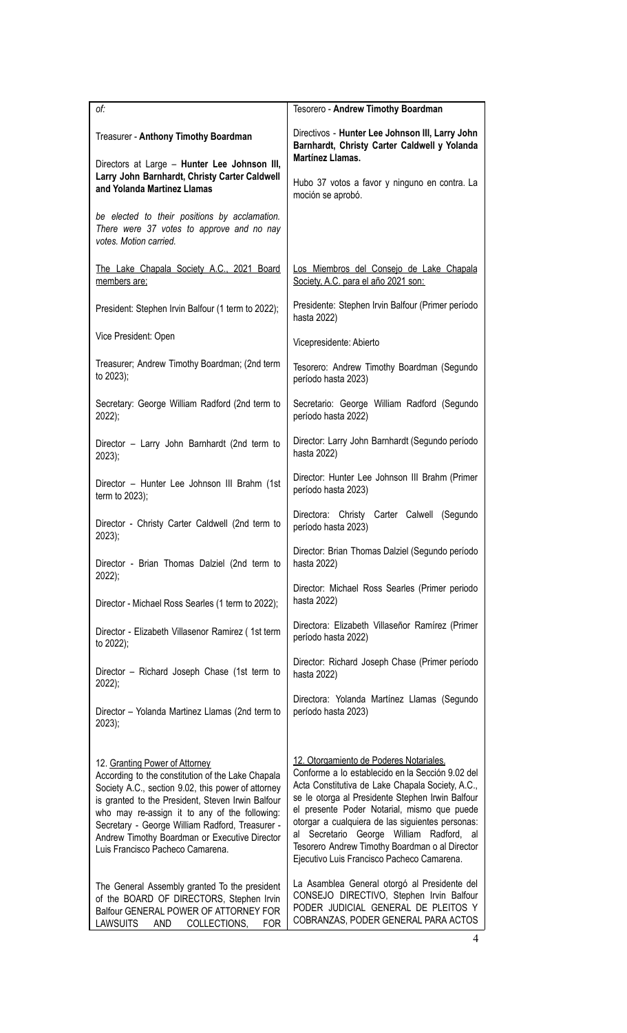| of:                                                                                                                                                                                                                                                                                                                                                                                     | Tesorero - Andrew Timothy Boardman                                                                                                                                                                                                                                                                                                                                                                                                                                                                    |
|-----------------------------------------------------------------------------------------------------------------------------------------------------------------------------------------------------------------------------------------------------------------------------------------------------------------------------------------------------------------------------------------|-------------------------------------------------------------------------------------------------------------------------------------------------------------------------------------------------------------------------------------------------------------------------------------------------------------------------------------------------------------------------------------------------------------------------------------------------------------------------------------------------------|
| Treasurer - Anthony Timothy Boardman                                                                                                                                                                                                                                                                                                                                                    | Directivos - Hunter Lee Johnson III, Larry John<br>Barnhardt, Christy Carter Caldwell y Yolanda<br>Martínez Llamas.                                                                                                                                                                                                                                                                                                                                                                                   |
| Directors at Large - Hunter Lee Johnson III,<br>Larry John Barnhardt, Christy Carter Caldwell<br>and Yolanda Martinez Llamas                                                                                                                                                                                                                                                            | Hubo 37 votos a favor y ninguno en contra. La<br>moción se aprobó.                                                                                                                                                                                                                                                                                                                                                                                                                                    |
| be elected to their positions by acclamation.<br>There were 37 votes to approve and no nay<br>votes. Motion carried.                                                                                                                                                                                                                                                                    |                                                                                                                                                                                                                                                                                                                                                                                                                                                                                                       |
| The Lake Chapala Society A.C., 2021 Board                                                                                                                                                                                                                                                                                                                                               | Los Miembros del Consejo de Lake Chapala                                                                                                                                                                                                                                                                                                                                                                                                                                                              |
| members are:                                                                                                                                                                                                                                                                                                                                                                            | Society, A.C. para el año 2021 son:                                                                                                                                                                                                                                                                                                                                                                                                                                                                   |
| President: Stephen Irvin Balfour (1 term to 2022);                                                                                                                                                                                                                                                                                                                                      | Presidente: Stephen Irvin Balfour (Primer período<br>hasta 2022)                                                                                                                                                                                                                                                                                                                                                                                                                                      |
| Vice President: Open                                                                                                                                                                                                                                                                                                                                                                    | Vicepresidente: Abierto                                                                                                                                                                                                                                                                                                                                                                                                                                                                               |
| Treasurer; Andrew Timothy Boardman; (2nd term                                                                                                                                                                                                                                                                                                                                           | Tesorero: Andrew Timothy Boardman (Segundo                                                                                                                                                                                                                                                                                                                                                                                                                                                            |
| to 2023);                                                                                                                                                                                                                                                                                                                                                                               | período hasta 2023)                                                                                                                                                                                                                                                                                                                                                                                                                                                                                   |
| Secretary: George William Radford (2nd term to                                                                                                                                                                                                                                                                                                                                          | Secretario: George William Radford (Segundo                                                                                                                                                                                                                                                                                                                                                                                                                                                           |
| 2022);                                                                                                                                                                                                                                                                                                                                                                                  | período hasta 2022)                                                                                                                                                                                                                                                                                                                                                                                                                                                                                   |
| Director - Larry John Barnhardt (2nd term to                                                                                                                                                                                                                                                                                                                                            | Director: Larry John Barnhardt (Segundo período                                                                                                                                                                                                                                                                                                                                                                                                                                                       |
| 2023);                                                                                                                                                                                                                                                                                                                                                                                  | hasta 2022)                                                                                                                                                                                                                                                                                                                                                                                                                                                                                           |
| Director - Hunter Lee Johnson III Brahm (1st                                                                                                                                                                                                                                                                                                                                            | Director: Hunter Lee Johnson III Brahm (Primer                                                                                                                                                                                                                                                                                                                                                                                                                                                        |
| term to 2023);                                                                                                                                                                                                                                                                                                                                                                          | período hasta 2023)                                                                                                                                                                                                                                                                                                                                                                                                                                                                                   |
| Director - Christy Carter Caldwell (2nd term to                                                                                                                                                                                                                                                                                                                                         | Directora: Christy Carter Calwell (Segundo                                                                                                                                                                                                                                                                                                                                                                                                                                                            |
| $2023$ ;                                                                                                                                                                                                                                                                                                                                                                                | período hasta 2023)                                                                                                                                                                                                                                                                                                                                                                                                                                                                                   |
| Director - Brian Thomas Dalziel (2nd term to                                                                                                                                                                                                                                                                                                                                            | Director: Brian Thomas Dalziel (Segundo período                                                                                                                                                                                                                                                                                                                                                                                                                                                       |
| $2022$ );                                                                                                                                                                                                                                                                                                                                                                               | hasta 2022)                                                                                                                                                                                                                                                                                                                                                                                                                                                                                           |
| Director - Michael Ross Searles (1 term to 2022);                                                                                                                                                                                                                                                                                                                                       | Director: Michael Ross Searles (Primer periodo<br>hasta 2022)                                                                                                                                                                                                                                                                                                                                                                                                                                         |
| Director - Elizabeth Villasenor Ramirez (1st term                                                                                                                                                                                                                                                                                                                                       | Directora: Elizabeth Villaseñor Ramírez (Primer                                                                                                                                                                                                                                                                                                                                                                                                                                                       |
| to 2022);                                                                                                                                                                                                                                                                                                                                                                               | período hasta 2022)                                                                                                                                                                                                                                                                                                                                                                                                                                                                                   |
| Director - Richard Joseph Chase (1st term to                                                                                                                                                                                                                                                                                                                                            | Director: Richard Joseph Chase (Primer período                                                                                                                                                                                                                                                                                                                                                                                                                                                        |
| 2022);                                                                                                                                                                                                                                                                                                                                                                                  | hasta 2022)                                                                                                                                                                                                                                                                                                                                                                                                                                                                                           |
| Director - Yolanda Martinez Llamas (2nd term to                                                                                                                                                                                                                                                                                                                                         | Directora: Yolanda Martínez Llamas (Segundo                                                                                                                                                                                                                                                                                                                                                                                                                                                           |
| 2023);                                                                                                                                                                                                                                                                                                                                                                                  | período hasta 2023)                                                                                                                                                                                                                                                                                                                                                                                                                                                                                   |
| 12. Granting Power of Attorney<br>According to the constitution of the Lake Chapala<br>Society A.C., section 9.02, this power of attorney<br>is granted to the President, Steven Irwin Balfour<br>who may re-assign it to any of the following:<br>Secretary - George William Radford, Treasurer -<br>Andrew Timothy Boardman or Executive Director<br>Luis Francisco Pacheco Camarena. | 12. Otorgamiento de Poderes Notariales.<br>Conforme a lo establecido en la Sección 9.02 del<br>Acta Constitutiva de Lake Chapala Society, A.C.,<br>se le otorga al Presidente Stephen Irwin Balfour<br>el presente Poder Notarial, mismo que puede<br>otorgar a cualquiera de las siguientes personas:<br>Secretario George William Radford, al<br>al<br>Tesorero Andrew Timothy Boardman o al Director<br>Ejecutivo Luis Francisco Pacheco Camarena.<br>La Asamblea General otorgó al Presidente del |
| The General Assembly granted To the president<br>of the BOARD OF DIRECTORS, Stephen Irvin<br>Balfour GENERAL POWER OF ATTORNEY FOR<br><b>LAWSUITS</b><br>COLLECTIONS,<br><b>FOR</b><br>AND                                                                                                                                                                                              | CONSEJO DIRECTIVO, Stephen Irvin Balfour<br>PODER JUDICIAL GENERAL DE PLEITOS Y<br>COBRANZAS, PODER GENERAL PARA ACTOS                                                                                                                                                                                                                                                                                                                                                                                |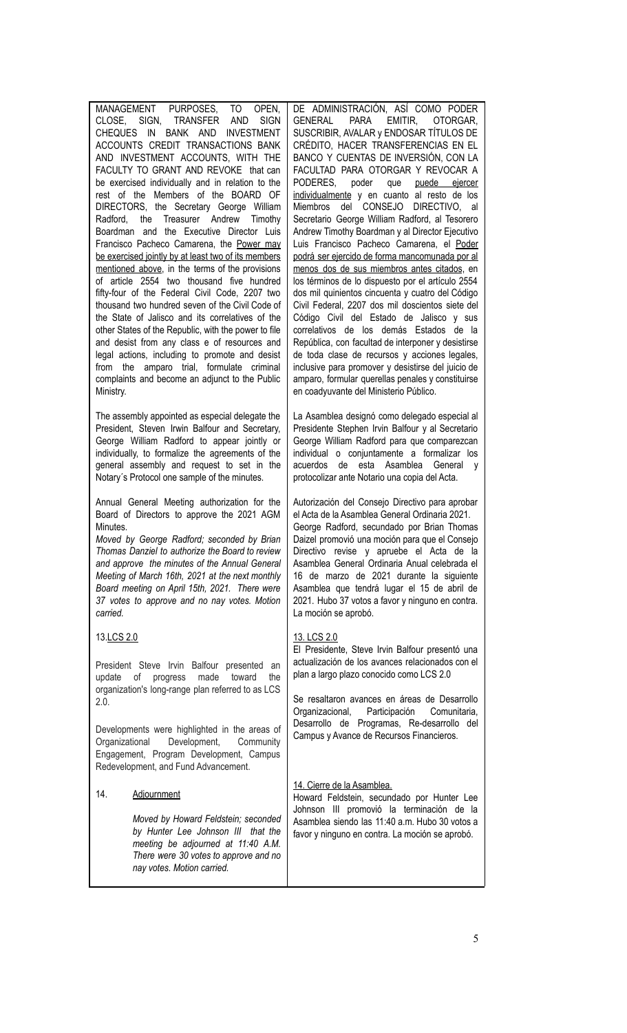| MANAGEMENT PURPOSES,<br>TO<br>OPEN,<br>CLOSE, SIGN, TRANSFER<br><b>AND</b><br><b>SIGN</b><br>BANK AND<br><b>INVESTMENT</b><br><b>CHEQUES</b><br>- IN<br>ACCOUNTS CREDIT TRANSACTIONS BANK<br>AND INVESTMENT ACCOUNTS, WITH THE<br>FACULTY TO GRANT AND REVOKE that can<br>be exercised individually and in relation to the<br>rest of the Members of the BOARD OF<br>DIRECTORS, the Secretary George William<br>Treasurer Andrew<br>Radford,<br>the<br>Timothy<br>Boardman and the Executive Director Luis<br>Francisco Pacheco Camarena, the Power may<br>be exercised jointly by at least two of its members<br>mentioned above, in the terms of the provisions<br>of article 2554 two thousand five hundred<br>fifty-four of the Federal Civil Code, 2207 two<br>thousand two hundred seven of the Civil Code of<br>the State of Jalisco and its correlatives of the<br>other States of the Republic, with the power to file<br>and desist from any class e of resources and<br>legal actions, including to promote and desist<br>amparo trial, formulate criminal<br>from the<br>complaints and become an adjunct to the Public<br>Ministry.<br>The assembly appointed as especial delegate the<br>President, Steven Irwin Balfour and Secretary,<br>George William Radford to appear jointly or<br>individually, to formalize the agreements of the | DE ADMINISTRACIÓN, ASÍ COMO PODER<br><b>PARA</b><br>EMITIR,<br><b>GENERAL</b><br>OTORGAR.<br>SUSCRIBIR, AVALAR y ENDOSAR TÍTULOS DE<br>CRÉDITO, HACER TRANSFERENCIAS EN EL<br>BANCO Y CUENTAS DE INVERSIÓN, CON LA<br>FACULTAD PARA OTORGAR Y REVOCAR A<br>PODERES,<br>poder<br>que<br>puede ejercer<br>individualmente y en cuanto al resto de los<br>CONSEJO<br>del<br>DIRECTIVO, al<br>Miembros<br>Secretario George William Radford, al Tesorero<br>Andrew Timothy Boardman y al Director Ejecutivo<br>Luis Francisco Pacheco Camarena, el Poder<br>podrá ser ejercido de forma mancomunada por al<br>menos dos de sus miembros antes citados, en<br>los términos de lo dispuesto por el artículo 2554<br>dos mil quinientos cincuenta y cuatro del Código<br>Civil Federal, 2207 dos mil doscientos siete del<br>Código Civil del Estado de Jalisco y sus<br>correlativos de los demás Estados de la<br>República, con facultad de interponer y desistirse<br>de toda clase de recursos y acciones legales,<br>inclusive para promover y desistirse del juicio de<br>amparo, formular querellas penales y constituirse<br>en coadyuvante del Ministerio Público.<br>La Asamblea designó como delegado especial al<br>Presidente Stephen Irvin Balfour y al Secretario<br>George William Radford para que comparezcan<br>individual o conjuntamente a formalizar los |
|----------------------------------------------------------------------------------------------------------------------------------------------------------------------------------------------------------------------------------------------------------------------------------------------------------------------------------------------------------------------------------------------------------------------------------------------------------------------------------------------------------------------------------------------------------------------------------------------------------------------------------------------------------------------------------------------------------------------------------------------------------------------------------------------------------------------------------------------------------------------------------------------------------------------------------------------------------------------------------------------------------------------------------------------------------------------------------------------------------------------------------------------------------------------------------------------------------------------------------------------------------------------------------------------------------------------------------------------------------|--------------------------------------------------------------------------------------------------------------------------------------------------------------------------------------------------------------------------------------------------------------------------------------------------------------------------------------------------------------------------------------------------------------------------------------------------------------------------------------------------------------------------------------------------------------------------------------------------------------------------------------------------------------------------------------------------------------------------------------------------------------------------------------------------------------------------------------------------------------------------------------------------------------------------------------------------------------------------------------------------------------------------------------------------------------------------------------------------------------------------------------------------------------------------------------------------------------------------------------------------------------------------------------------------------------------------------------------------------------------------|
| general assembly and request to set in the<br>Notary's Protocol one sample of the minutes.                                                                                                                                                                                                                                                                                                                                                                                                                                                                                                                                                                                                                                                                                                                                                                                                                                                                                                                                                                                                                                                                                                                                                                                                                                                               | esta Asamblea<br>acuerdos<br>de<br>General<br>V<br>protocolizar ante Notario una copia del Acta.                                                                                                                                                                                                                                                                                                                                                                                                                                                                                                                                                                                                                                                                                                                                                                                                                                                                                                                                                                                                                                                                                                                                                                                                                                                                         |
| Annual General Meeting authorization for the<br>Board of Directors to approve the 2021 AGM<br>Minutes.<br>Moved by George Radford; seconded by Brian<br>Thomas Danziel to authorize the Board to review<br>and approve the minutes of the Annual General<br>Meeting of March 16th, 2021 at the next monthly<br>Board meeting on April 15th, 2021. There were<br>37 votes to approve and no nay votes. Motion<br>carried.                                                                                                                                                                                                                                                                                                                                                                                                                                                                                                                                                                                                                                                                                                                                                                                                                                                                                                                                 | Autorización del Consejo Directivo para aprobar<br>el Acta de la Asamblea General Ordinaria 2021.<br>George Radford, secundado por Brian Thomas<br>Daizel promovió una moción para que el Consejo<br>Directivo revise y apruebe el Acta de la<br>Asamblea General Ordinaria Anual celebrada el<br>16 de marzo de 2021 durante la siguiente<br>Asamblea que tendrá lugar el 15 de abril de<br>2021. Hubo 37 votos a favor y ninguno en contra.<br>La moción se aprobó.                                                                                                                                                                                                                                                                                                                                                                                                                                                                                                                                                                                                                                                                                                                                                                                                                                                                                                    |
| 13.LCS 2.0                                                                                                                                                                                                                                                                                                                                                                                                                                                                                                                                                                                                                                                                                                                                                                                                                                                                                                                                                                                                                                                                                                                                                                                                                                                                                                                                               | 13. LCS 2.0                                                                                                                                                                                                                                                                                                                                                                                                                                                                                                                                                                                                                                                                                                                                                                                                                                                                                                                                                                                                                                                                                                                                                                                                                                                                                                                                                              |
| President Steve Irvin Balfour presented an<br>update<br>made<br>toward<br>οf<br>progress<br>the<br>organization's long-range plan referred to as LCS<br>2.0.                                                                                                                                                                                                                                                                                                                                                                                                                                                                                                                                                                                                                                                                                                                                                                                                                                                                                                                                                                                                                                                                                                                                                                                             | El Presidente, Steve Irvin Balfour presentó una<br>actualización de los avances relacionados con el<br>plan a largo plazo conocido como LCS 2.0<br>Se resaltaron avances en áreas de Desarrollo                                                                                                                                                                                                                                                                                                                                                                                                                                                                                                                                                                                                                                                                                                                                                                                                                                                                                                                                                                                                                                                                                                                                                                          |
| Developments were highlighted in the areas of<br>Organizational<br>Development,<br>Community<br>Engagement, Program Development, Campus<br>Redevelopment, and Fund Advancement.                                                                                                                                                                                                                                                                                                                                                                                                                                                                                                                                                                                                                                                                                                                                                                                                                                                                                                                                                                                                                                                                                                                                                                          | Organizacional, Participación<br>Comunitaria,<br>Desarrollo de Programas, Re-desarrollo del<br>Campus y Avance de Recursos Financieros.                                                                                                                                                                                                                                                                                                                                                                                                                                                                                                                                                                                                                                                                                                                                                                                                                                                                                                                                                                                                                                                                                                                                                                                                                                  |
| 14.<br><b>Adjournment</b><br>Moved by Howard Feldstein; seconded<br>by Hunter Lee Johnson III that the<br>meeting be adjourned at 11:40 A.M.<br>There were 30 votes to approve and no<br>nay votes. Motion carried.                                                                                                                                                                                                                                                                                                                                                                                                                                                                                                                                                                                                                                                                                                                                                                                                                                                                                                                                                                                                                                                                                                                                      | 14. Cierre de la Asamblea.<br>Howard Feldstein, secundado por Hunter Lee<br>Johnson III promovió la terminación de la<br>Asamblea siendo las 11:40 a.m. Hubo 30 votos a<br>favor y ninguno en contra. La moción se aprobó.                                                                                                                                                                                                                                                                                                                                                                                                                                                                                                                                                                                                                                                                                                                                                                                                                                                                                                                                                                                                                                                                                                                                               |